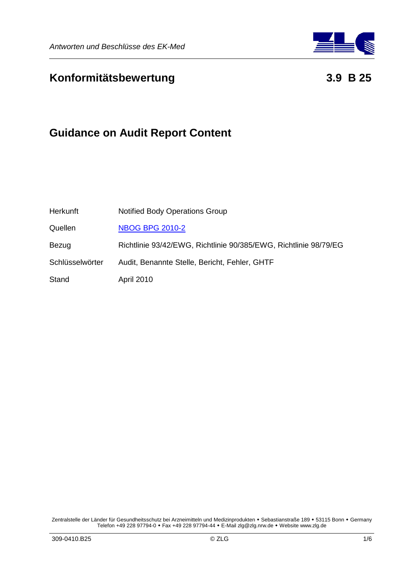

# **Konformitätsbewertung 3.9 B 25**

# **Guidance on Audit Report Content**

| Herkunft        | <b>Notified Body Operations Group</b>                            |
|-----------------|------------------------------------------------------------------|
| Quellen         | <b>NBOG BPG 2010-2</b>                                           |
| Bezug           | Richtlinie 93/42/EWG, Richtlinie 90/385/EWG, Richtlinie 98/79/EG |
| Schlüsselwörter | Audit, Benannte Stelle, Bericht, Fehler, GHTF                    |
| Stand           | <b>April 2010</b>                                                |

Zentralstelle der Länder für Gesundheitsschutz bei Arzneimitteln und Medizinprodukten • Sebastianstraße 189 • 53115 Bonn • Germany Telefon +49 228 97794-0 Fax +49 228 97794-44 E-Mail zlg@zlg.nrw.de Website www.zlg.de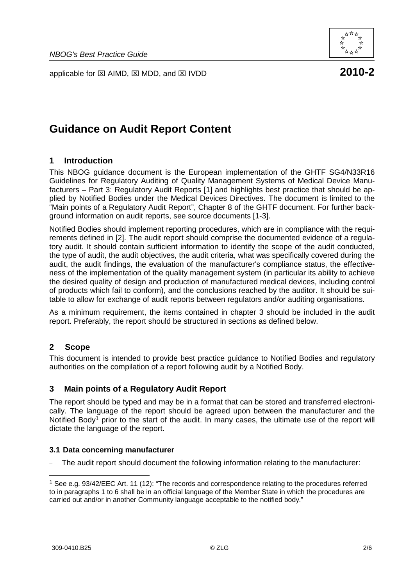applicable for  $\boxtimes$  AIMD,  $\boxtimes$  MDD, and  $\boxtimes$  IVDD **2010-2** 



# **Guidance on Audit Report Content**

# **1 Introduction**

This NBOG guidance document is the European implementation of the GHTF SG4/N33R16 Guidelines for Regulatory Auditing of Quality Management Systems of Medical Device Manufacturers – Part 3: Regulatory Audit Reports [1] and highlights best practice that should be applied by Notified Bodies under the Medical Devices Directives. The document is limited to the "Main points of a Regulatory Audit Report", Chapter 8 of the GHTF document. For further background information on audit reports, see source documents [1-3].

Notified Bodies should implement reporting procedures, which are in compliance with the requirements defined in [2]. The audit report should comprise the documented evidence of a regulatory audit. It should contain sufficient information to identify the scope of the audit conducted, the type of audit, the audit objectives, the audit criteria, what was specifically covered during the audit, the audit findings, the evaluation of the manufacturer's compliance status, the effectiveness of the implementation of the quality management system (in particular its ability to achieve the desired quality of design and production of manufactured medical devices, including control of products which fail to conform), and the conclusions reached by the auditor. It should be suitable to allow for exchange of audit reports between regulators and/or auditing organisations.

As a minimum requirement, the items contained in chapter 3 should be included in the audit report. Preferably, the report should be structured in sections as defined below.

# **2 Scope**

This document is intended to provide best practice guidance to Notified Bodies and regulatory authorities on the compilation of a report following audit by a Notified Body.

# **3 Main points of a Regulatory Audit Report**

The report should be typed and may be in a format that can be stored and transferred electronically. The language of the report should be agreed upon between the manufacturer and the Notified Body<sup>1</sup> prior to the start of the audit. In many cases, the ultimate use of the report will dictate the language of the report.

### **3.1 Data concerning manufacturer**

– The audit report should document the following information relating to the manufacturer:

 $\overline{a}$ 

<sup>1</sup> See e.g. 93/42/EEC Art. 11 (12): "The records and correspondence relating to the procedures referred to in paragraphs 1 to 6 shall be in an official language of the Member State in which the procedures are carried out and/or in another Community language acceptable to the notified body."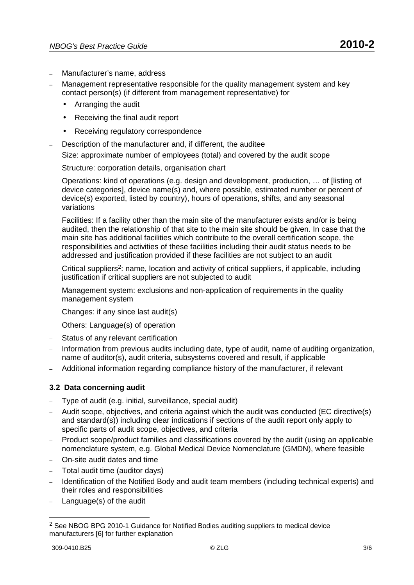- Manufacturer's name, address
- Management representative responsible for the quality management system and key contact person(s) (if different from management representative) for
	- Arranging the audit
	- Receiving the final audit report
	- Receiving regulatory correspondence
- Description of the manufacturer and, if different, the auditee

Size: approximate number of employees (total) and covered by the audit scope

Structure: corporation details, organisation chart

Operations: kind of operations (e.g. design and development, production, … of [listing of device categories], device name(s) and, where possible, estimated number or percent of device(s) exported, listed by country), hours of operations, shifts, and any seasonal variations

Facilities: If a facility other than the main site of the manufacturer exists and/or is being audited, then the relationship of that site to the main site should be given. In case that the main site has additional facilities which contribute to the overall certification scope, the responsibilities and activities of these facilities including their audit status needs to be addressed and justification provided if these facilities are not subject to an audit

Critical suppliers<sup>2</sup>: name, location and activity of critical suppliers, if applicable, including justification if critical suppliers are not subjected to audit

Management system: exclusions and non-application of requirements in the quality management system

Changes: if any since last audit(s)

Others: Language(s) of operation

- Status of any relevant certification
- Information from previous audits including date, type of audit, name of auditing organization, name of auditor(s), audit criteria, subsystems covered and result, if applicable
- Additional information regarding compliance history of the manufacturer, if relevant

### **3.2 Data concerning audit**

- Type of audit (e.g. initial, surveillance, special audit)
- Audit scope, objectives, and criteria against which the audit was conducted (EC directive(s) and standard(s)) including clear indications if sections of the audit report only apply to specific parts of audit scope, objectives, and criteria
- Product scope/product families and classifications covered by the audit (using an applicable nomenclature system, e.g. Global Medical Device Nomenclature (GMDN), where feasible
- On-site audit dates and time
- Total audit time (auditor days)
- Identification of the Notified Body and audit team members (including technical experts) and their roles and responsibilities
- Language(s) of the audit

<sup>2</sup> See NBOG BPG 2010-1 Guidance for Notified Bodies auditing suppliers to medical device manufacturers [6] for further explanation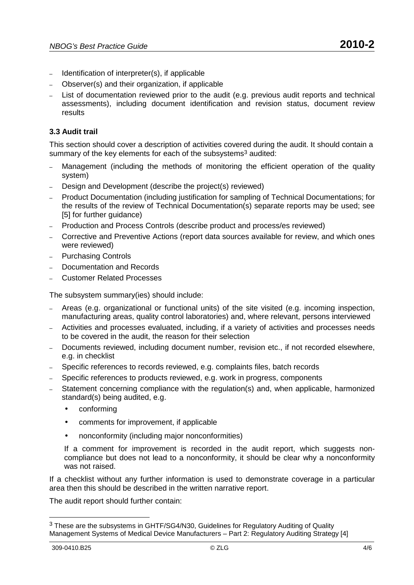- Identification of interpreter(s), if applicable
- Observer(s) and their organization, if applicable
- List of documentation reviewed prior to the audit (e.g. previous audit reports and technical assessments), including document identification and revision status, document review results

# **3.3 Audit trail**

This section should cover a description of activities covered during the audit. It should contain a summary of the key elements for each of the subsystems<sup>3</sup> audited:

- Management (including the methods of monitoring the efficient operation of the quality system)
- Design and Development (describe the project(s) reviewed)
- Product Documentation (including justification for sampling of Technical Documentations; for the results of the review of Technical Documentation(s) separate reports may be used; see [5] for further quidance)
- Production and Process Controls (describe product and process/es reviewed)
- Corrective and Preventive Actions (report data sources available for review, and which ones were reviewed)
- Purchasing Controls
- Documentation and Records
- Customer Related Processes

The subsystem summary(ies) should include:

- Areas (e.g. organizational or functional units) of the site visited (e.g. incoming inspection, manufacturing areas, quality control laboratories) and, where relevant, persons interviewed
- Activities and processes evaluated, including, if a variety of activities and processes needs to be covered in the audit, the reason for their selection
- Documents reviewed, including document number, revision etc., if not recorded elsewhere, e.g. in checklist
- Specific references to records reviewed, e.g. complaints files, batch records
- Specific references to products reviewed, e.g. work in progress, components
- Statement concerning compliance with the regulation(s) and, when applicable, harmonized standard(s) being audited, e.g.
	- conforming
	- comments for improvement, if applicable
	- nonconformity (including major nonconformities)

If a comment for improvement is recorded in the audit report, which suggests noncompliance but does not lead to a nonconformity, it should be clear why a nonconformity was not raised.

If a checklist without any further information is used to demonstrate coverage in a particular area then this should be described in the written narrative report.

The audit report should further contain:

<sup>&</sup>lt;sup>3</sup> These are the subsystems in GHTF/SG4/N30, Guidelines for Regulatory Auditing of Quality Management Systems of Medical Device Manufacturers – Part 2: Regulatory Auditing Strategy [4]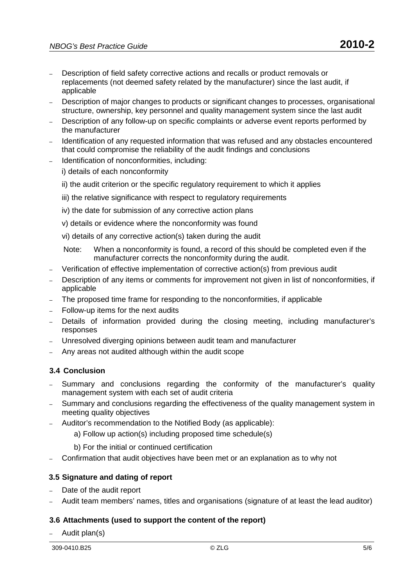- Description of field safety corrective actions and recalls or product removals or replacements (not deemed safety related by the manufacturer) since the last audit, if applicable
- Description of major changes to products or significant changes to processes, organisational structure, ownership, key personnel and quality management system since the last audit
- Description of any follow-up on specific complaints or adverse event reports performed by the manufacturer
- Identification of any requested information that was refused and any obstacles encountered that could compromise the reliability of the audit findings and conclusions
- Identification of nonconformities, including:

i) details of each nonconformity

- ii) the audit criterion or the specific regulatory requirement to which it applies
- iii) the relative significance with respect to regulatory requirements
- iv) the date for submission of any corrective action plans
- v) details or evidence where the nonconformity was found
- vi) details of any corrective action(s) taken during the audit
- Note: When a nonconformity is found, a record of this should be completed even if the manufacturer corrects the nonconformity during the audit.
- Verification of effective implementation of corrective action(s) from previous audit
- Description of any items or comments for improvement not given in list of nonconformities, if applicable
- The proposed time frame for responding to the nonconformities, if applicable
- Follow-up items for the next audits
- Details of information provided during the closing meeting, including manufacturer's responses
- Unresolved diverging opinions between audit team and manufacturer
- Any areas not audited although within the audit scope

# **3.4 Conclusion**

- Summary and conclusions regarding the conformity of the manufacturer's quality management system with each set of audit criteria
- Summary and conclusions regarding the effectiveness of the quality management system in meeting quality objectives
- Auditor's recommendation to the Notified Body (as applicable):
	- a) Follow up action(s) including proposed time schedule(s)
	- b) For the initial or continued certification
- Confirmation that audit objectives have been met or an explanation as to why not

# **3.5 Signature and dating of report**

- Date of the audit report
- Audit team members' names, titles and organisations (signature of at least the lead auditor)

# **3.6 Attachments (used to support the content of the report)**

– Audit plan(s)